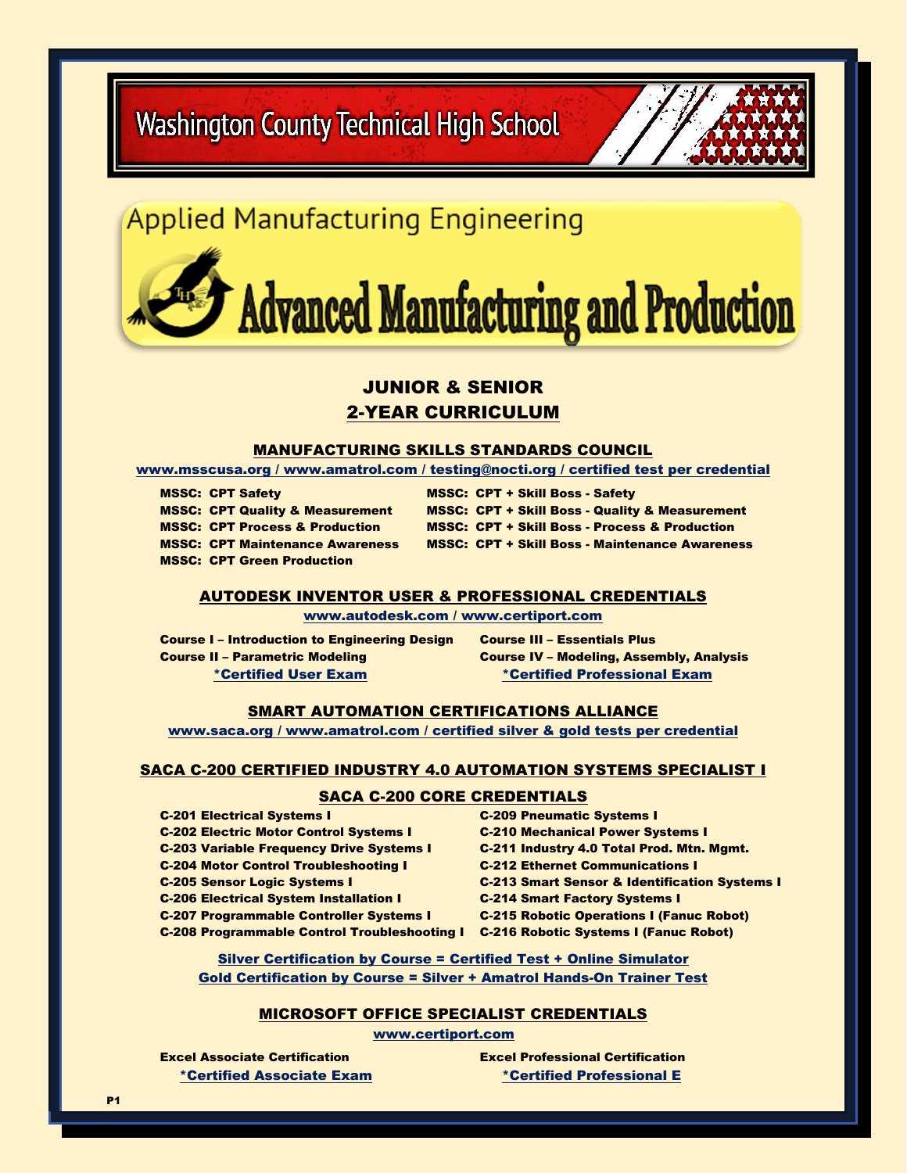**Washington County Technical High School** 



# **Applied Manufacturing Engineering**

# **Advanced Manufacturing and Production**

# JUNIOR & SENIOR 2-YEAR CURRICULUM

### MANUFACTURING SKILLS STANDARDS COUNCIL

[www.msscusa.org](http://www.msscusa.org/) / [www.amatrol.com](http://www.amatrol.com/) / testing@nocti.org / certified test per credential

MSSC: CPT Green Production

MSSC: CPT Safety MSSC: CPT + Skill Boss - Safety MSSC: CPT Quality & Measurement MSSC: CPT + Skill Boss - Quality & Measurement MSSC: CPT Process & Production MSSC: CPT + Skill Boss - Process & Production MSSC: CPT Maintenance Awareness MSSC: CPT + Skill Boss - Maintenance Awareness

# AUTODESK INVENTOR USER & PROFESSIONAL CREDENTIALS

[www.autodesk.com](http://www.autodesk.com/) / [www.certiport.com](http://www.certiport.com/)

Course I – Introduction to Engineering Design Course III – Essentials Plus Course II – Parametric Modeling Course IV – Modeling, Assembly, Analysis

\*Certified User Exam \*Certified Professional Exam

#### SMART AUTOMATION CERTIFICATIONS ALLIANCE

[www.saca.org](http://www.saca.org/) / [www.amatrol.com](http://www.amatrol.com/) / certified silver & gold tests per credential

#### SACA C-200 CERTIFIED INDUSTRY 4.0 AUTOMATION SYSTEMS SPECIALIST I

### SACA C-200 CORE CREDENTIALS

- C-201 Electrical Systems I C-209 Pneumatic Systems I C-202 Electric Motor Control Systems I C-210 Mechanical Power Systems I C-204 Motor Control Troubleshooting I C-212 Ethernet Communications I C-206 Electrical System Installation I C-214 Smart Factory Systems I
- C-203 Variable Frequency Drive Systems I C-211 Industry 4.0 Total Prod. Mtn. Mgmt. C-205 Sensor Logic Systems I C-213 Smart Sensor & Identification Systems I C-207 Programmable Controller Systems I C-215 Robotic Operations I (Fanuc Robot) C-208 Programmable Control Troubleshooting I C-216 Robotic Systems I (Fanuc Robot)

Silver Certification by Course = Certified Test + Online Simulator Gold Certification by Course = Silver + Amatrol Hands-On Trainer Test

# MICROSOFT OFFICE SPECIALIST CREDENTIALS

[www.certiport.com](http://www.certiport.com/)

Excel Associate Certification Excel Professional Certification \*Certified Associate Exam \*Certified Professional E